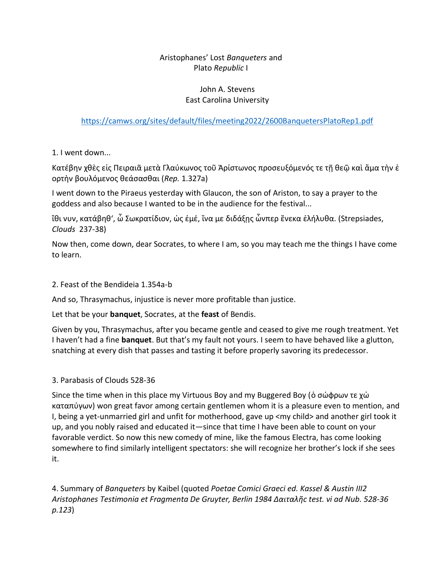## Aristophanes' Lost *Banqueters* and Plato *Republic* I

### John A. Stevens East Carolina University

## <https://camws.org/sites/default/files/meeting2022/2600BanquetersPlatoRep1.pdf>

1. I went down...

Κατέβην χθὲς εἰς Πειραιᾶ μετὰ Γλαύκωνος τοῦ Ἀρίστωνος προσευξόμενός τε τῇ θεῷ καὶ ἅμα τὴν ἑ ορτὴν βουλόμενος θεάσασθαι (*Rep.* 1.327a)

I went down to the Piraeus yesterday with Glaucon, the son of Ariston, to say a prayer to the goddess and also because I wanted to be in the audience for the festival...

ἴθι νυν, κατάβηθ', ὦ Σωκρατίδιον, ὡς ἐμέ, ἵνα με διδάξῃς ὧνπερ ἕνεκα ἐλήλυθα. (Strepsiades, *Clouds* 237-38)

Now then, come down, dear Socrates, to where I am, so you may teach me the things I have come to learn.

### 2. Feast of the Bendideia 1.354a-b

And so, Thrasymachus, injustice is never more profitable than justice.

Let that be your **banquet**, Socrates, at the **feast** of Bendis.

Given by you, Thrasymachus, after you became gentle and ceased to give me rough treatment. Yet I haven't had a fine **banquet**. But that's my fault not yours. I seem to have behaved like a glutton, snatching at every dish that passes and tasting it before properly savoring its predecessor.

### 3. Parabasis of Clouds 528-36

Since the time when in this place my Virtuous Boy and my Buggered Boy (ὁ σώφρων τε χὡ καταπύγων) won great favor among certain gentlemen whom it is a pleasure even to mention, and I, being a yet-unmarried girl and unfit for motherhood, gave up <my child> and another girl took it up, and you nobly raised and educated it—since that time I have been able to count on your favorable verdict. So now this new comedy of mine, like the famous Electra, has come looking somewhere to find similarly intelligent spectators: she will recognize her brother's lock if she sees it.

4. Summary of *Banqueters* by Kaibel (quoted *Poetae Comici Graeci ed. Kassel & Austin III2 Aristophanes Testimonia et Fragmenta De Gruyter, Berlin 1984 Δαιταλῆc test. vi ad Nub. 528-36 p.123*)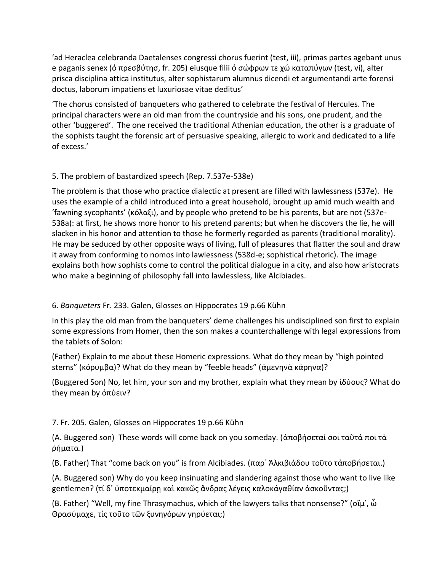'ad Heraclea celebranda Daetalenses congressi chorus fuerint (test, iii), primas partes agebant unus e paganis senex (ό πρεσβύτησ, fr. 205) eiusque filii ό σώφρων τε χώ καταπύγων (test, vi), alter prisca disciplina attica institutus, alter sophistarum alumnus dicendi et argumentandi arte forensi doctus, laborum impatiens et luxuriosae vitae deditus'

'The chorus consisted of banqueters who gathered to celebrate the festival of Hercules. The principal characters were an old man from the countryside and his sons, one prudent, and the other 'buggered'. The one received the traditional Athenian education, the other is a graduate of the sophists taught the forensic art of persuasive speaking, allergic to work and dedicated to a life of excess.'

## 5. The problem of bastardized speech (Rep. 7.537e-538e)

The problem is that those who practice dialectic at present are filled with lawlessness (537e). He uses the example of a child introduced into a great household, brought up amid much wealth and 'fawning sycophants' (κόλαξι), and by people who pretend to be his parents, but are not (537e-538a): at first, he shows more honor to his pretend parents; but when he discovers the lie, he will slacken in his honor and attention to those he formerly regarded as parents (traditional morality). He may be seduced by other opposite ways of living, full of pleasures that flatter the soul and draw it away from conforming to nomos into lawlessness (538d-e; sophistical rhetoric). The image explains both how sophists come to control the political dialogue in a city, and also how aristocrats who make a beginning of philosophy fall into lawlessless, like Alcibiades.

# 6. *Banqueters* Fr. 233. Galen, Glosses on Hippocrates 19 p.66 Kühn

In this play the old man from the banqueters' deme challenges his undisciplined son first to explain some expressions from Homer, then the son makes a counterchallenge with legal expressions from the tablets of Solon:

(Father) Explain to me about these Homeric expressions. What do they mean by "high pointed sterns" (κόρυμβα)? What do they mean by "feeble heads" (ἀμενηνὰ κάρηνα)?

(Buggered Son) No, let him, your son and my brother, explain what they mean by ἰδύους? What do they mean by ὀπύειν?

# 7. Fr. 205. Galen, Glosses on Hippocrates 19 p.66 Kühn

(Α. Buggered son) These words will come back on you someday. (ἀποβήσεταί σοι ταῦτά ποι τὰ ῥήματα.)

(Β. Father) That "come back on you" is from Alcibiades. (παρ᾿ Ἀλκιβιάδου τοῦτο τἀποβήσεται.)

(Α. Buggered son) Why do you keep insinuating and slandering against those who want to live like gentlemen? (τί δ' ὑποτεκμαίρῃ καὶ κακῶς ἄνδρας λέγεις καλοκάγαθίαν ἀσκοῦντας;)

(B. Father) "Well, my fine Thrasymachus, which of the lawyers talks that nonsense?" (οἴμ᾿, ὦ Θρασύμαχε, τίς τοῦτο τῶν ξυνηγόρων γηρύεται;)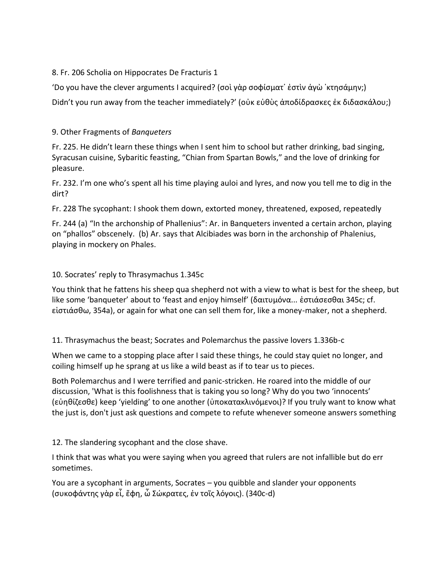#### 8. Fr. 206 Scholia on Hippocrates De Fracturis 1

'Do you have the clever arguments I acquired? (σοὶ γὰρ σοφίσματ᾿ ἐστὶν ἁγὼ ᾿κτησάμην;) Didn't you run away from the teacher immediately?' (οὐκ εὐθὺς ἀποδίδρασκες ἐκ διδασκάλου;)

### 9. Other Fragments of *Banqueters*

Fr. 225. He didn't learn these things when I sent him to school but rather drinking, bad singing, Syracusan cuisine, Sybaritic feasting, "Chian from Spartan Bowls," and the love of drinking for pleasure.

Fr. 232. I'm one who's spent all his time playing auloi and lyres, and now you tell me to dig in the dirt?

Fr. 228 The sycophant: I shook them down, extorted money, threatened, exposed, repeatedly

Fr. 244 (a) "In the archonship of Phallenius": Ar. in Banqueters invented a certain archon, playing on "phallos" obscenely. (b) Ar. says that Alcibiades was born in the archonship of Phalenius, playing in mockery on Phales.

### 10. Socrates' reply to Thrasymachus 1.345c

You think that he fattens his sheep qua shepherd not with a view to what is best for the sheep, but like some 'banqueter' about to 'feast and enjoy himself' (δαιτυμόνα... ἑστιάσεσθαι 345c; cf. εἱστιάσθω, 354a), or again for what one can sell them for, like a money-maker, not a shepherd.

11. Thrasymachus the beast; Socrates and Polemarchus the passive lovers 1.336b-c

When we came to a stopping place after I said these things, he could stay quiet no longer, and coiling himself up he sprang at us like a wild beast as if to tear us to pieces.

Both Polemarchus and I were terrified and panic-stricken. He roared into the middle of our discussion, 'What is this foolishness that is taking you so long? Why do you two 'innocents' (εὐηθίζεσθε) keep 'yielding' to one another (ὑποκατακλινόμενοι)? If you truly want to know what the just is, don't just ask questions and compete to refute whenever someone answers something

12. The slandering sycophant and the close shave.

I think that was what you were saying when you agreed that rulers are not infallible but do err sometimes.

You are a sycophant in arguments, Socrates – you quibble and slander your opponents (συκοφάντης γὰρ εἶ, ἔφη, ὦ Σώκρατες, ἐν τοῖς λόγοις). (340c-d)